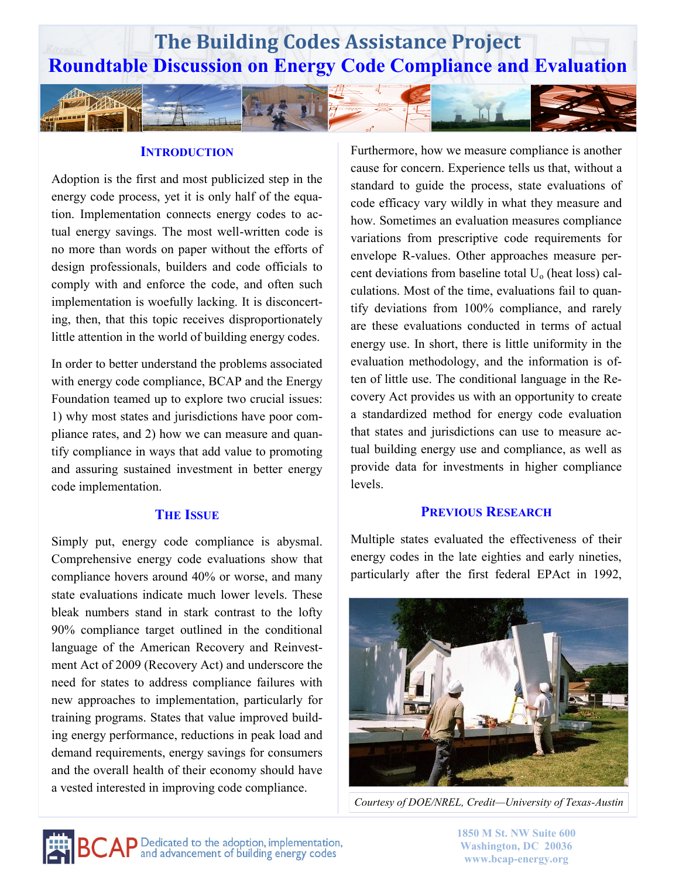

#### **INTRODUCTION**

Adoption is the first and most publicized step in the energy code process, yet it is only half of the equation. Implementation connects energy codes to actual energy savings. The most well-written code is no more than words on paper without the efforts of design professionals, builders and code officials to comply with and enforce the code, and often such implementation is woefully lacking. It is disconcerting, then, that this topic receives disproportionately little attention in the world of building energy codes.

In order to better understand the problems associated with energy code compliance, BCAP and the Energy Foundation teamed up to explore two crucial issues: 1) why most states and jurisdictions have poor compliance rates, and 2) how we can measure and quantify compliance in ways that add value to promoting and assuring sustained investment in better energy code implementation.

### **THE ISSUE**

Simply put, energy code compliance is abysmal. Comprehensive energy code evaluations show that compliance hovers around 40% or worse, and many state evaluations indicate much lower levels. These bleak numbers stand in stark contrast to the lofty 90% compliance target outlined in the conditional language of the American Recovery and Reinvestment Act of 2009 (Recovery Act) and underscore the need for states to address compliance failures with new approaches to implementation, particularly for training programs. States that value improved building energy performance, reductions in peak load and demand requirements, energy savings for consumers and the overall health of their economy should have a vested interested in improving code compliance.

Furthermore, how we measure compliance is another cause for concern. Experience tells us that, without a standard to guide the process, state evaluations of code efficacy vary wildly in what they measure and how. Sometimes an evaluation measures compliance variations from prescriptive code requirements for envelope R-values. Other approaches measure percent deviations from baseline total  $U_0$  (heat loss) calculations. Most of the time, evaluations fail to quantify deviations from 100% compliance, and rarely are these evaluations conducted in terms of actual energy use. In short, there is little uniformity in the evaluation methodology, and the information is often of little use. The conditional language in the Recovery Act provides us with an opportunity to create a standardized method for energy code evaluation that states and jurisdictions can use to measure actual building energy use and compliance, as well as provide data for investments in higher compliance levels.

#### **PREVIOUS RESEARCH**

Multiple states evaluated the effectiveness of their energy codes in the late eighties and early nineties, particularly after the first federal EPAct in 1992,



*Courtesy of DOE/NREL, Credit—University of Texas-Austin*



**1850 M St. NW Suite 600 Washington, DC 20036 www.bcap-energy.org**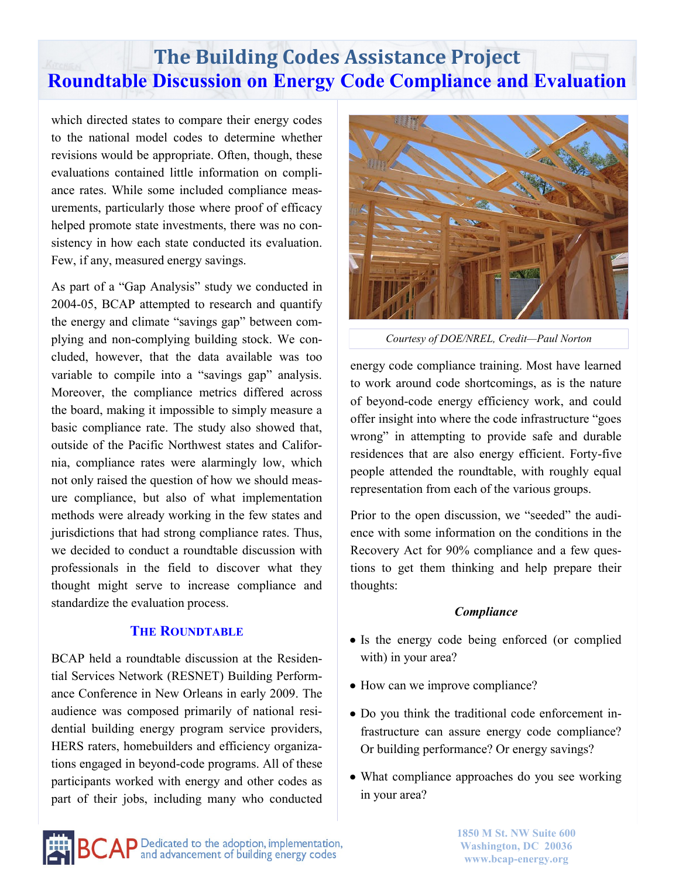which directed states to compare their energy codes to the national model codes to determine whether revisions would be appropriate. Often, though, these evaluations contained little information on compliance rates. While some included compliance measurements, particularly those where proof of efficacy helped promote state investments, there was no consistency in how each state conducted its evaluation. Few, if any, measured energy savings.

As part of a "Gap Analysis" study we conducted in 2004-05, BCAP attempted to research and quantify the energy and climate "savings gap" between complying and non-complying building stock. We concluded, however, that the data available was too variable to compile into a "savings gap" analysis. Moreover, the compliance metrics differed across the board, making it impossible to simply measure a basic compliance rate. The study also showed that, outside of the Pacific Northwest states and California, compliance rates were alarmingly low, which not only raised the question of how we should measure compliance, but also of what implementation methods were already working in the few states and jurisdictions that had strong compliance rates. Thus, we decided to conduct a roundtable discussion with professionals in the field to discover what they thought might serve to increase compliance and standardize the evaluation process.

## **THE ROUNDTABLE**

BCAP held a roundtable discussion at the Residential Services Network (RESNET) Building Performance Conference in New Orleans in early 2009. The audience was composed primarily of national residential building energy program service providers, HERS raters, homebuilders and efficiency organizations engaged in beyond-code programs. All of these participants worked with energy and other codes as part of their jobs, including many who conducted



*Courtesy of DOE/NREL, Credit—Paul Norton*

energy code compliance training. Most have learned to work around code shortcomings, as is the nature of beyond-code energy efficiency work, and could offer insight into where the code infrastructure "goes wrong" in attempting to provide safe and durable residences that are also energy efficient. Forty-five people attended the roundtable, with roughly equal representation from each of the various groups.

Prior to the open discussion, we "seeded" the audience with some information on the conditions in the Recovery Act for 90% compliance and a few questions to get them thinking and help prepare their thoughts:

## *Compliance*

- Is the energy code being enforced (or complied with) in your area?
- How can we improve compliance?
- Do you think the traditional code enforcement infrastructure can assure energy code compliance? Or building performance? Or energy savings?
- What compliance approaches do you see working in your area?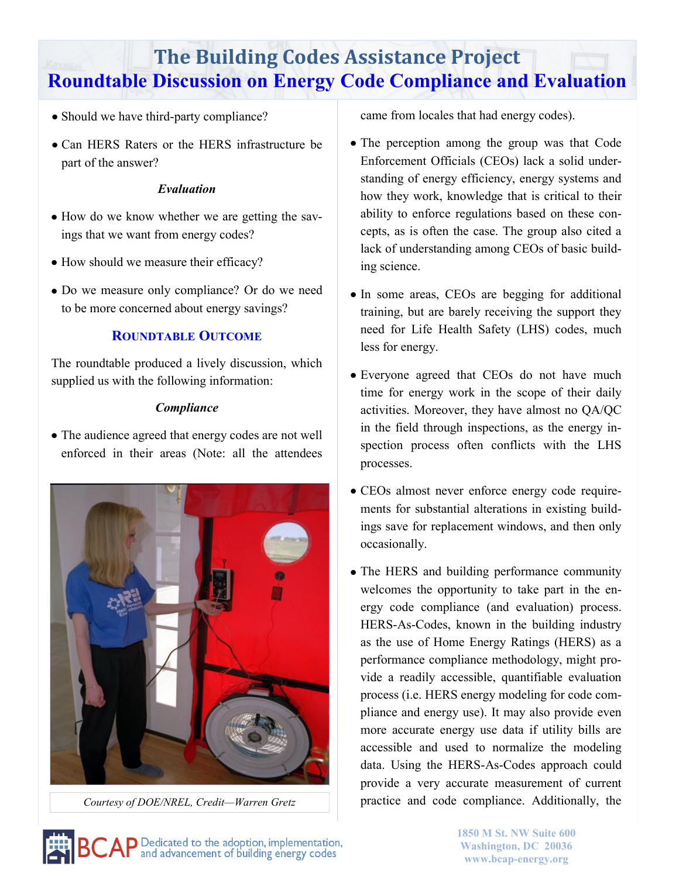- Should we have third-party compliance?
- Can HERS Raters or the HERS infrastructure be part of the answer?

# *Evaluation*

- How do we know whether we are getting the savings that we want from energy codes?
- How should we measure their efficacy?
- Do we measure only compliance? Or do we need to be more concerned about energy savings?

# **ROUNDTABLE OUTCOME**

The roundtable produced a lively discussion, which supplied us with the following information:

# *Compliance*

• The audience agreed that energy codes are not well enforced in their areas (Note: all the attendees



*Courtesy of DOE/NREL, Credit—Warren Gretz*

came from locales that had energy codes).

- The perception among the group was that Code Enforcement Officials (CEOs) lack a solid understanding of energy efficiency, energy systems and how they work, knowledge that is critical to their ability to enforce regulations based on these concepts, as is often the case. The group also cited a lack of understanding among CEOs of basic building science.
- In some areas, CEOs are begging for additional training, but are barely receiving the support they need for Life Health Safety (LHS) codes, much less for energy.
- Everyone agreed that CEOs do not have much time for energy work in the scope of their daily activities. Moreover, they have almost no QA/QC in the field through inspections, as the energy inspection process often conflicts with the LHS processes.
- CEOs almost never enforce energy code requirements for substantial alterations in existing buildings save for replacement windows, and then only occasionally.
- The HERS and building performance community welcomes the opportunity to take part in the energy code compliance (and evaluation) process. HERS-As-Codes, known in the building industry as the use of Home Energy Ratings (HERS) as a performance compliance methodology, might provide a readily accessible, quantifiable evaluation process (i.e. HERS energy modeling for code compliance and energy use). It may also provide even more accurate energy use data if utility bills are accessible and used to normalize the modeling data. Using the HERS-As-Codes approach could provide a very accurate measurement of current practice and code compliance. Additionally, the

 $\mathsf{C}\mathsf{AP}$  Dedicated to the adoption, implementation,  $\mathsf{AP}$  and advancement of building energy codes